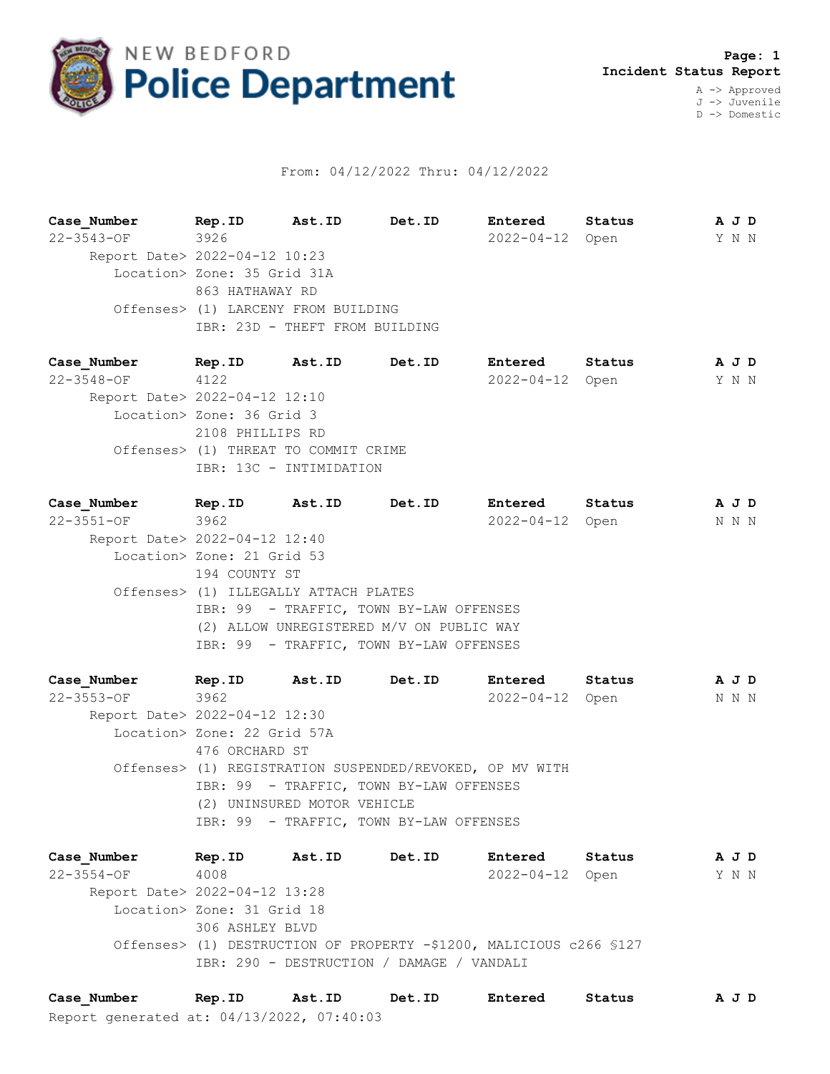

## From: 04/12/2022 Thru: 04/12/2022

**Case\_Number Rep.ID Ast.ID Det.ID Entered Status A J D** 22-3543-OF 3926 2022-04-12 Open Y N N Report Date> 2022-04-12 10:23 Location> Zone: 35 Grid 31A 863 HATHAWAY RD Offenses> (1) LARCENY FROM BUILDING IBR: 23D - THEFT FROM BUILDING

**Case\_Number Rep.ID Ast.ID Det.ID Entered Status A J D** 22-3548-OF 4122 2022-04-12 Open Y N N Report Date> 2022-04-12 12:10 Location> Zone: 36 Grid 3 2108 PHILLIPS RD Offenses> (1) THREAT TO COMMIT CRIME IBR: 13C - INTIMIDATION

**Case\_Number Rep.ID Ast.ID Det.ID Entered Status A J D** 22-3551-OF 3962 2022-04-12 Open N N N Report Date> 2022-04-12 12:40 Location> Zone: 21 Grid 53 194 COUNTY ST Offenses> (1) ILLEGALLY ATTACH PLATES IBR: 99 - TRAFFIC, TOWN BY-LAW OFFENSES (2) ALLOW UNREGISTERED M/V ON PUBLIC WAY IBR: 99 - TRAFFIC, TOWN BY-LAW OFFENSES

**Case\_Number Rep.ID Ast.ID Det.ID Entered Status A J D** 22-3553-OF 3962 2022-04-12 Open N N N Report Date> 2022-04-12 12:30 Location> Zone: 22 Grid 57A 476 ORCHARD ST Offenses> (1) REGISTRATION SUSPENDED/REVOKED, OP MV WITH IBR: 99 - TRAFFIC, TOWN BY-LAW OFFENSES (2) UNINSURED MOTOR VEHICLE IBR: 99 - TRAFFIC, TOWN BY-LAW OFFENSES

**Case\_Number Rep.ID Ast.ID Det.ID Entered Status A J D** 22-3554-OF 4008 2022-04-12 Open Y N N Report Date> 2022-04-12 13:28 Location> Zone: 31 Grid 18 306 ASHLEY BLVD Offenses> (1) DESTRUCTION OF PROPERTY -\$1200, MALICIOUS c266 §127 IBR: 290 - DESTRUCTION / DAMAGE / VANDALI

Report generated at: 04/13/2022, 07:40:03 **Case\_Number Rep.ID Ast.ID Det.ID Entered Status A J D**